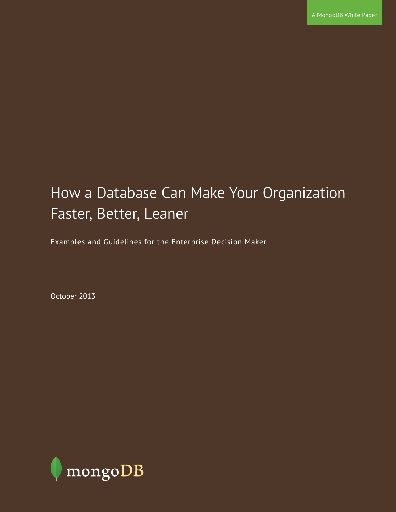# How a Database Can Make Your Organization Faster, Better, Leaner

Examples and Guidelines for the Enterprise Decision Maker

October 2013

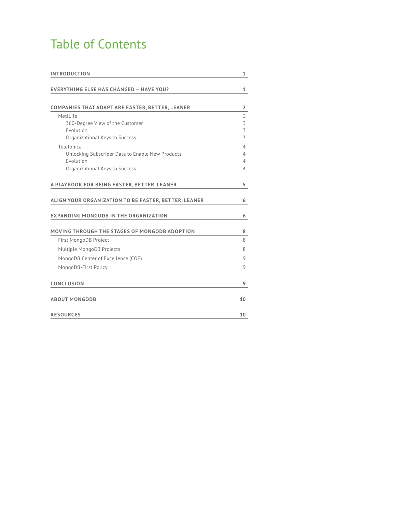# Table of Contents

| <b>INTRODUCTION</b>                                    |    |
|--------------------------------------------------------|----|
|                                                        |    |
| <b>EVERYTHING ELSE HAS CHANGED - HAVE YOU?</b>         | 1  |
|                                                        |    |
| <b>COMPANIES THAT ADAPT ARE FASTER, BETTER, LEANER</b> | 2  |
| MetlLife                                               | 3  |
| 360-Degree View of the Customer                        | 3  |
| Evolution                                              | 3  |
| Organizational Keys to Success                         | 3  |
| Telefonica                                             | 4  |
| Unlocking Subscriber Data to Enable New Products       | 4  |
| Evolution                                              | 4  |
| Organizational Keys to Success                         | 4  |
|                                                        |    |
| A PLAYBOOK FOR BEING FASTER, BETTER, LEANER            | 5  |
|                                                        |    |
| ALIGN YOUR ORGANIZATION TO BE FASTER, BETTER, LEANER   | 6  |
| EXPANDING MONGODB IN THE ORGANIZATION                  | 6  |
|                                                        |    |
| MOVING THROUGH THE STAGES OF MONGODB ADOPTION          | 8  |
| First MongoDB Project                                  | 8  |
| Multiple MongoDB Projects                              | 8  |
| MongoDB Center of Excellence (COE)                     | 9  |
| MongoDB-First Policy                                   | 9  |
|                                                        |    |
| <b>CONCLUSION</b>                                      | 9  |
|                                                        |    |
| <b>ABOUT MONGODB</b>                                   | 10 |
|                                                        |    |
| <b>RESOURCES</b>                                       | 10 |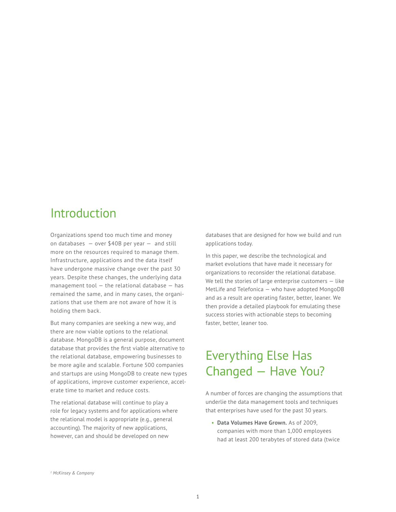### Introduction

Organizations spend too much time and money on databases  $-$  over \$40B per year  $-$  and still more on the resources required to manage them. Infrastructure, applications and the data itself have undergone massive change over the past 30 years. Despite these changes, the underlying data management tool  $-$  the relational database  $-$  has remained the same, and in many cases, the organizations that use them are not aware of how it is holding them back.

But many companies are seeking a new way, and there are now viable options to the relational database. MongoDB is a general purpose, document database that provides the first viable alternative to the relational database, empowering businesses to be more agile and scalable. Fortune 500 companies and startups are using MongoDB to create new types of applications, improve customer experience, accelerate time to market and reduce costs.

The relational database will continue to play a role for legacy systems and for applications where the relational model is appropriate (e.g., general accounting). The majority of new applications, however, can and should be developed on new

databases that are designed for how we build and run applications today.

In this paper, we describe the technological and market evolutions that have made it necessary for organizations to reconsider the relational database. We tell the stories of large enterprise customers - like MetLife and Telefonica — who have adopted MongoDB and as a result are operating faster, better, leaner. We then provide a detailed playbook for emulating these success stories with actionable steps to becoming faster, better, leaner too.

# Everything Else Has Changed — Have You?

A number of forces are changing the assumptions that underlie the data management tools and techniques that enterprises have used for the past 30 years.

• **Data Volumes Have Grown.** As of 2009, companies with more than 1,000 employees had at least 200 terabytes of stored data (twice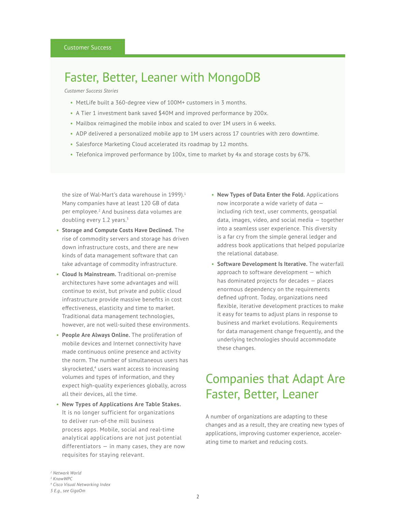### Faster, Better, Leaner with MongoDB

*Customer Success Stories*

- MetLife built a 360-degree view of 100M+ customers in 3 months.
- A Tier 1 investment bank saved \$40M and improved performance by 200x.
- Mailbox reimagined the mobile inbox and scaled to over 1M users in 6 weeks.
- ADP delivered a personalized mobile app to 1M users across 17 countries with zero downtime.
- Salesforce Marketing Cloud accelerated its roadmap by 12 months.
- Telefonica improved performance by 100x, time to market by 4x and storage costs by 67%.

the size of Wal-Mart's data warehouse in 1999). $1$ Many companies have at least 120 GB of data per employee.<sup>2</sup> And business data volumes are doubling every 1.2 years. $3$ 

- **Storage and Compute Costs Have Declined.** The rise of commodity servers and storage has driven down infrastructure costs, and there are new kinds of data management software that can take advantage of commodity infrastructure.
- **Cloud Is Mainstream.** Traditional on-premise architectures have some advantages and will continue to exist, but private and public cloud infrastructure provide massive benefits in cost effectiveness, elasticity and time to market. Traditional data management technologies, however, are not well-suited these environments.
- **People Are Always Online.** The proliferation of mobile devices and Internet connectivity have made continuous online presence and activity the norm. The number of simultaneous users has skyrocketed,<sup>4</sup> users want access to increasing volumes and types of information, and they expect high-quality experiences globally, across all their devices, all the time.
- **New Types of Applications Are Table Stakes.** It is no longer sufficient for organizations to deliver run-of-the mill business process apps. Mobile, social and real-time analytical applications are not just potential differentiators  $-$  in many cases, they are now requisites for staying relevant.
- **New Types of Data Enter the Fold.** Applications now incorporate a wide variety of data including rich text, user comments, geospatial data, images, video, and social media — together into a seamless user experience. This diversity is a far cry from the simple general ledger and address book applications that helped popularize the relational database.
- **Software Development Is Iterative.** The waterfall approach to software development — which has dominated projects for decades — places enormous dependency on the requirements defined upfront. Today, organizations need flexible, iterative development practices to make it easy for teams to adjust plans in response to business and market evolutions. Requirements for data management change frequently, and the underlying technologies should accommodate these changes.

## Companies that Adapt Are Faster, Better, Leaner

A number of organizations are adapting to these changes and as a result, they are creating new types of applications, improving customer experience, accelerating time to market and reducing costs.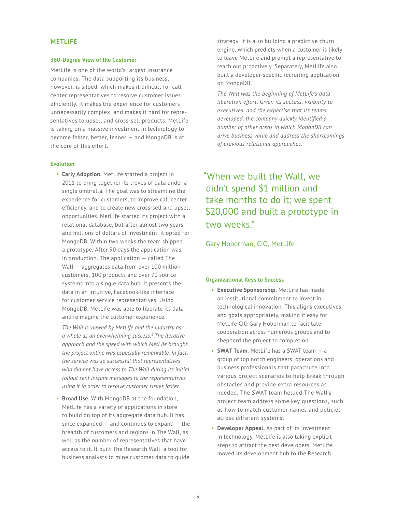### **METLIFE**

#### **360-Degree View of the Customer**

MetLife is one of the world's largest insurance companies. The data supporting its business, however, is siloed, which makes it difficult for call center representatives to resolve customer issues efficiently. It makes the experience for customers unnecessarily complex, and makes it hard for representatives to upsell and cross-sell products. MetLife is taking on a massive investment in technology to become faster, better, leaner — and MongoDB is at the core of this effort.

### **Evolution**

• **Early Adoption.** MetLife started a project in 2011 to bring together its troves of data under a single umbrella. The goal was to streamline the experience for customers, to improve call center efficiency, and to create new cross-sell and upsell opportunities. MetLife started its project with a relational database, but after almost two years and millions of dollars of investment, it opted for MongoDB. Within two weeks the team shipped a prototype. After 90 days the application was in production. The application — called The Wall — aggregates data from over 100 million customers, 100 products and over 70 source systems into a single data hub. It presents the data in an intuitive, Facebook-like interface for customer service representatives. Using MongoDB, MetLife was able to liberate its data and reimagine the customer experience.

*The Wall is viewed by MetLife and the industry as a whole as an overwhelming success.<sup>5</sup> The iterative approach and the speed with which MetLife brought the project online was especially remarkable. In fact, the service was so successful that representatives who did not have access to The Wall during its initial rollout sent instant messages to the representatives using it in order to resolve customer issues faster.*

• **Broad Use.** With MongoDB at the foundation, MetLife has a variety of applications in store to build on top of its aggregate data hub. It has since expanded — and continues to expand — the breadth of customers and regions in The Wall, as well as the number of representatives that have access to it. It built The Research Wall, a tool for business analysts to mine customer data to guide

strategy. It is also building a predictive churn engine, which predicts when a customer is likely to leave MetLife and prompt a representative to reach out proactively. Separately, MetLife also built a developer-specific recruiting application on MongoDB.

*The Wall was the beginning of MetLife's data liberation effort. Given its success, visibility to executives, and the expertise that its teams developed, the company quickly identified a number of other areas in which MongoDB can drive business value and address the shortcomings of previous relational approaches.*

"When we built the Wall, we didn't spend \$1 million and take months to do it; we spent \$20,000 and built a prototype in two weeks."

Gary Hoberman, CIO, MetLife

#### **Organizational Keys to Success**

- **Executive Sponsorship.** MetLife has made an institutional commitment to invest in technological innovation. This aligns executives and goals appropriately, making it easy for MetLife CIO Gary Hoberman to facilitate cooperation across numerous groups and to shepherd the project to completion.
- **SWAT Team.** MetLife has a SWAT team a group of top notch engineers, operations and business professionals that parachute into various project scenarios to help break through obstacles and provide extra resources as needed. The SWAT team helped The Wall's project team address some key questions, such as how to match customer names and policies across different systems.
- **Developer Appeal.** As part of its investment in technology, MetLife is also taking explicit steps to attract the best developers. MetLife moved its development hub to the Research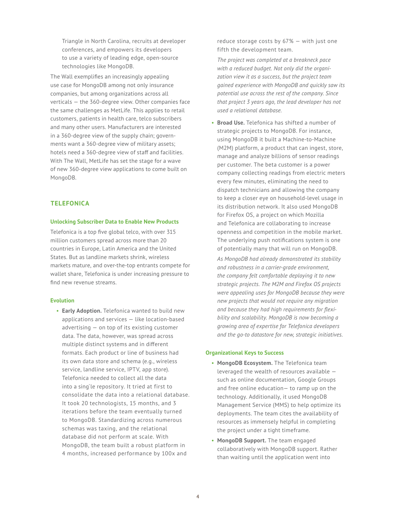Triangle in North Carolina, recruits at developer conferences, and empowers its developers to use a variety of leading edge, open-source technologies like MongoDB.

The Wall exemplifies an increasingly appealing use case for MongoDB among not only insurance companies, but among organizations across all verticals — the 360-degree view. Other companies face the same challenges as MetLife. This applies to retail customers, patients in health care, telco subscribers and many other users. Manufacturers are interested in a 360-degree view of the supply chain; governments want a 360-degree view of military assets; hotels need a 360-degree view of staff and facilities. With The Wall, MetLife has set the stage for a wave of new 360-degree view applications to come built on MongoDB.

### **TELEFONICA**

#### **Unlocking Subscriber Data to Enable New Products**

Telefonica is a top five global telco, with over 315 million customers spread across more than 20 countries in Europe, Latin America and the United States. But as landline markets shrink, wireless markets mature, and over-the-top entrants compete for wallet share, Telefonica is under increasing pressure to find new revenue streams.

#### **Evolution**

• **Early Adoption.** Telefonica wanted to build new applications and services — like location-based advertising — on top of its existing customer data. The data, however, was spread across multiple distinct systems and in different formats. Each product or line of business had its own data store and schema (e.g., wireless service, landline service, IPTV, app store). Telefonica needed to collect all the data into a sing`le repository. It tried at first to consolidate the data into a relational database. It took 20 technologists, 15 months, and 3 iterations before the team eventually turned to MongoDB. Standardizing across numerous schemas was taxing, and the relational database did not perform at scale. With MongoDB, the team built a robust platform in 4 months, increased performance by 100x and

reduce storage costs by 67% — with just one fifth the development team.

*The project was completed at a breakneck pace with a reduced budget. Not only did the organization view it as a success, but the project team gained experience with MongoDB and quickly saw its potential use across the rest of the company. Since that project 3 years ago, the lead developer has not used a relational database.*

• **Broad Use.** Telefonica has shifted a number of strategic projects to MongoDB. For instance, using MongoDB it built a Machine-to-Machine (M2M) platform, a product that can ingest, store, manage and analyze billions of sensor readings per customer. The beta customer is a power company collecting readings from electric meters every few minutes, eliminating the need to dispatch technicians and allowing the company to keep a closer eye on household-level usage in its distribution network. It also used MongoDB for Firefox OS, a project on which Mozilla and Telefonica are collaborating to increase openness and competition in the mobile market. The underlying push notifications system is one of potentially many that will run on MongoDB.

*As MongoDB had already demonstrated its stability and robustness in a carrier-grade environment, the company felt comfortable deploying it to new strategic projects. The M2M and Firefox OS projects were appealing uses for MongoDB because they were new projects that would not require any migration and because they had high requirements for flexibility and scalability. MongoDB is now becoming a growing area of expertise for Telefonica developers and the go-to datastore for new, strategic initiatives.*

#### **Organizational Keys to Success**

- **MongoDB Ecosystem.** The Telefonica team leveraged the wealth of resources available such as online documentation, Google Groups and free online education— to ramp up on the technology. Additionally, it used MongoDB Management Service (MMS) to help optimize its deployments. The team cites the availability of resources as immensely helpful in completing the project under a tight timeframe.
- **MongoDB Support.** The team engaged collaboratively with MongoDB support. Rather than waiting until the application went into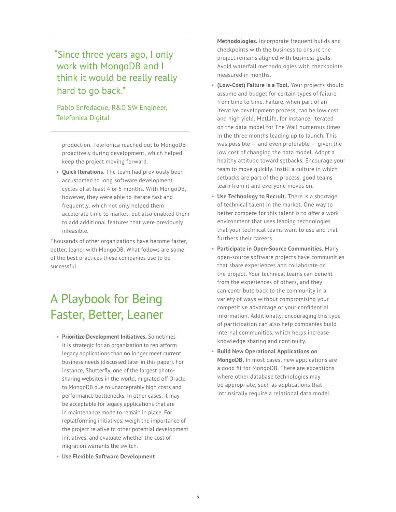"Since three years ago, I only work with MongoDB and I think it would be really really hard to go back."

Pablo Enfedaque, R&D SW Engineer, Telefonica Digital

production, Telefonica reached out to MongoDB proactively during development, which helped keep the project moving forward.

• **Quick Iterations.** The team had previously been accustomed to long software development cycles of at least 4 or 5 months. With MongoDB, however, they were able to iterate fast and frequently, which not only helped them accelerate time to market, but also enabled them to add additional features that were previously infeasible.

Thousands of other organizations have become faster, better, leaner with MongoDB. What follows are some of the best practices these companies use to be successful.

# A Playbook for Being Faster, Better, Leaner

- **Prioritize Development Initiatives.** Sometimes it is strategic for an organization to replatform legacy applications than no longer meet current business needs (discussed later in this paper). For instance, Shutterfly, one of the largest photosharing websites in the world, migrated off Oracle to MongoDB due to unacceptably high costs and performance bottlenecks. In other cases, it may be acceptable for legacy applications that are in maintenance mode to remain in place. For replatforming initiatives, weigh the importance of the project relative to other potential development initiatives; and evaluate whether the cost of migration warrants the switch.
- **Use Flexible Software Development**

**Methodologies.** Incorporate frequent builds and checkpoints with the business to ensure the project remains aligned with business goals. Avoid waterfall methodologies with checkpoints measured in months.

- **(Low-Cost) Failure is a Tool.** Your projects should assume and budget for certain types of failure from time to time. Failure, when part of an iterative development process, can be low cost and high yield. MetLife, for instance, iterated on the data model for The Wall numerous times in the three months leading up to launch. This was possible  $-$  and even preferable  $-$  given the low cost of changing the data model. Adopt a healthy attitude toward setbacks. Encourage your team to move quickly. Instill a culture in which setbacks are part of the process, good teams learn from it and everyone moves on.
- **Use Technology to Recruit.** There is a shortage of technical talent in the market. One way to better compete for this talent is to offer a work environment that uses leading technologies that your technical teams want to use and that furthers their careers.
- **Participate in Open-Source Communities.** Many open-source software projects have communities that share experiences and collaborate on the project. Your technical teams can benefit from the experiences of others, and they can contribute back to the community in a variety of ways without compromising your competitive advantage or your confidential information. Additionally, encouraging this type of participation can also help companies build internal communities, which helps increase knowledge sharing and continuity.
- **Build New Operational Applications on MongoDB.** In most cases, new applications are a good fit for MongoDB. There are exceptions where other database technologies may be appropriate, such as applications that intrinsically require a relational data model.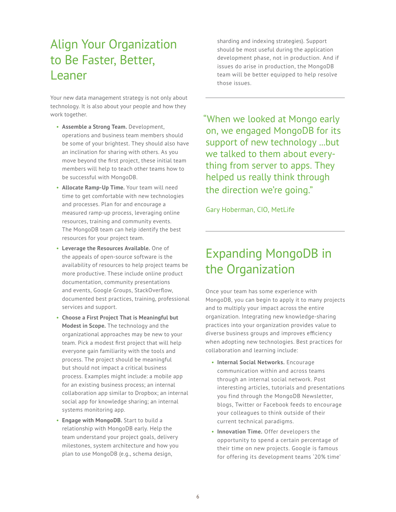# Align Your Organization to Be Faster, Better, Leaner

Your new data management strategy is not only about technology. It is also about your people and how they work together.

- **Assemble a Strong Team.** Development, operations and business team members should be some of your brightest. They should also have an inclination for sharing with others. As you move beyond the first project, these initial team members will help to teach other teams how to be successful with MongoDB.
- **Allocate Ramp-Up Time.** Your team will need time to get comfortable with new technologies and processes. Plan for and encourage a measured ramp-up process, leveraging online resources, training and community events. The MongoDB team can help identify the best resources for your project team.
- **Leverage the Resources Available.** One of the appeals of open-source software is the availability of resources to help project teams be more productive. These include online product documentation, community presentations and events, Google Groups, StackOverflow, documented best practices, training, professional services and support.
- **Choose a First Project That is Meaningful but Modest in Scope.** The technology and the organizational approaches may be new to your team. Pick a modest first project that will help everyone gain familiarity with the tools and process. The project should be meaningful but should not impact a critical business process. Examples might include: a mobile app for an existing business process; an internal collaboration app similar to Dropbox; an internal social app for knowledge sharing; an internal systems monitoring app.
- **Engage with MongoDB.** Start to build a relationship with MongoDB early. Help the team understand your project goals, delivery milestones, system architecture and how you plan to use MongoDB (e.g., schema design,

sharding and indexing strategies). Support should be most useful during the application development phase, not in production. And if issues do arise in production, the MongoDB team will be better equipped to help resolve those issues.

"When we looked at Mongo early on, we engaged MongoDB for its support of new technology ...but we talked to them about everything from server to apps. They helped us really think through the direction we're going."

Gary Hoberman, CIO, MetLife

# Expanding MongoDB in the Organization

Once your team has some experience with MongoDB, you can begin to apply it to many projects and to multiply your impact across the entire organization. Integrating new knowledge-sharing practices into your organization provides value to diverse business groups and improves efficiency when adopting new technologies. Best practices for collaboration and learning include:

- **Internal Social Networks.** Encourage communication within and across teams through an internal social network. Post interesting articles, tutorials and presentations you find through the MongoDB Newsletter, blogs, Twitter or Facebook feeds to encourage your colleagues to think outside of their current technical paradigms.
- **Innovation Time.** Offer developers the opportunity to spend a certain percentage of their time on new projects. Google is famous for offering its development teams '20% time'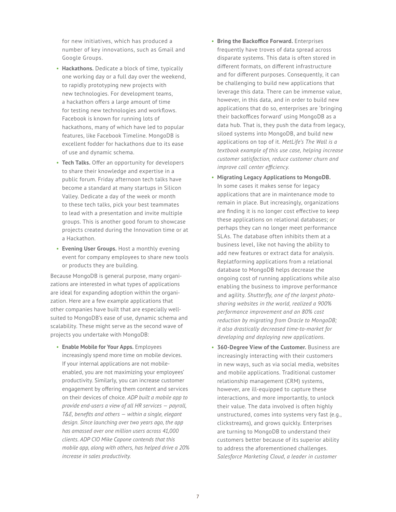for new initiatives, which has produced a number of key innovations, such as Gmail and Google Groups.

- **Hackathons.** Dedicate a block of time, typically one working day or a full day over the weekend, to rapidly prototyping new projects with new technologies. For development teams, a hackathon offers a large amount of time for testing new technologies and workflows. Facebook is known for running lots of hackathons, many of which have led to popular features, like Facebook Timeline. MongoDB is excellent fodder for hackathons due to its ease of use and dynamic schema.
- **Tech Talks.** Offer an opportunity for developers to share their knowledge and expertise in a public forum. Friday afternoon tech talks have become a standard at many startups in Silicon Valley. Dedicate a day of the week or month to these tech talks, pick your best teammates to lead with a presentation and invite multiple groups. This is another good forum to showcase projects created during the Innovation time or at a Hackathon.
- **Evening User Groups.** Host a monthly evening event for company employees to share new tools or products they are building.

Because MongoDB is general purpose, many organizations are interested in what types of applications are ideal for expanding adoption within the organization. Here are a few example applications that other companies have built that are especially wellsuited to MongoDB's ease of use, dynamic schema and scalability. These might serve as the second wave of projects you undertake with MongoDB:

• **Enable Mobile for Your Apps.** Employees increasingly spend more time on mobile devices. If your internal applications are not mobileenabled, you are not maximizing your employees' productivity. Similarly, you can increase customer engagement by offering them content and services on their devices of choice. *ADP built a mobile app to provide end-users a view of all HR services — payroll, T&E, benefits and others — within a single, elegant design. Since launching over two years ago, the app has amassed over one million users across 41,000 clients. ADP CIO Mike Capone contends that this mobile app, along with others, has helped drive a 20% increase in sales productivity.*

- **Bring the Backoffice Forward.** Enterprises frequently have troves of data spread across disparate systems. This data is often stored in different formats, on different infrastructure and for different purposes. Consequently, it can be challenging to build new applications that leverage this data. There can be immense value, however, in this data, and in order to build new applications that do so, enterprises are 'bringing their backoffices forward' using MongoDB as a data hub. That is, they push the data from legacy, siloed systems into MongoDB, and build new applications on top of it. *MetLife's The Wall is a textbook example of this use case, helping increase customer satisfaction, reduce customer churn and improve call center efficiency.*
- **Migrating Legacy Applications to MongoDB.**  In some cases it makes sense for legacy applications that are in maintenance mode to remain in place. But increasingly, organizations are finding it is no longer cost effective to keep these applications on relational databases; or perhaps they can no longer meet performance SLAs. The database often inhibits them at a business level, like not having the ability to add new features or extract data for analysis. Replatforming applications from a relational database to MongoDB helps decrease the ongoing cost of running applications while also enabling the business to improve performance and agility. *Shutterfly, one of the largest photosharing websites in the world, realized a 900% performance improvement and an 80% cost reduction by migrating from Oracle to MongoDB; it also drastically decreased time-to-market for developing and deploying new applications.*
- **360-Degree View of the Customer.** Business are increasingly interacting with their customers in new ways, such as via social media, websites and mobile applications. Traditional customer relationship management (CRM) systems, however, are ill-equipped to capture these interactions, and more importantly, to unlock their value. The data involved is often highly unstructured, comes into systems very fast (e.g., clickstreams), and grows quickly. Enterprises are turning to MongoDB to understand their customers better because of its superior ability to address the aforementioned challenges. *Salesforce Marketing Cloud, a leader in customer*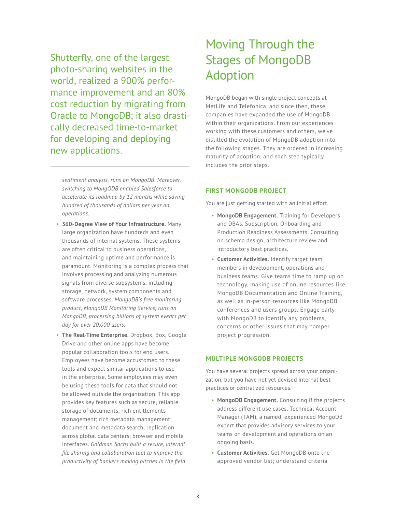Shutterfly, one of the largest photo-sharing websites in the world, realized a 900% performance improvement and an 80% cost reduction by migrating from Oracle to MongoDB; it also drastically decreased time-to-market for developing and deploying new applications.

# Moving Through the Stages of MongoDB Adoption

MongoDB began with single project concepts at MetLife and Telefonica, and since then, these companies have expanded the use of MongoDB within their organizations. From our experiences working with these customers and others, we've distilled the evolution of MongoDB adoption into the following stages. They are ordered in increasing maturity of adoption, and each step typically includes the prior steps.

*sentiment analysis, runs on MongoDB. Moreover, switching to MongODB enabled Salesforce to accelerate its roadmap by 12 months while saving hundred of thousands of dollars per year on operations.*

- **360-Degree View of Your Infrastructure.** Many large organization have hundreds and even thousands of internal systems. These systems are often critical to business operations, and maintaining uptime and performance is paramount. Monitoring is a complex process that involves processing and analyzing numerous signals from diverse subsystems, including storage, network, system components and software processes. *MongoDB's free monitoring product, MongoDB Monitoring Service, runs on MongoDB, processing billions of system events per day for over 20,000 users.*
- **The Real-Time Enterprise.** Dropbox, Box, Google Drive and other online apps have become popular collaboration tools for end users. Employees have become accustomed to these tools and expect similar applications to use in the enterprise. Some employees may even be using these tools for data that should not be allowed outside the organization. This app provides key features such as secure, reliable storage of documents; rich entitlements management; rich metadata management; document and metadata search; replication across global data centers; browser and mobile interfaces. *Goldman Sachs built a secure, internal file sharing and collaboration tool to improve the productivity of bankers making pitches in the field.*

### **FIRST MONGODB PROJECT**

You are just getting started with an initial effort.

- **MongoDB Engagement.** Training for Developers and DBAs. Subscription, Onboarding and Production Readiness Assessments. Consulting on schema design, architecture review and introductory best practices.
- **Customer Activities.** Identify target team members in development, operations and business teams. Give teams time to ramp up on technology, making use of online resources like MongoDB Documentation and Online Training, as well as in-person resources like MongoDB conferences and users groups. Engage early with MongoDB to identify any problems, concerns or other issues that may hamper project progression.

### **MULTIPLE MONGODB PROJECTS**

You have several projects spread across your organization, but you have not yet devised internal best practices or centralized resources.

- **MongoDB Engagement.** Consulting if the projects address different use cases. Technical Account Manager (TAM), a named, experienced MongoDB expert that provides advisory services to your teams on development and operations on an ongoing basis.
- **Customer Activities.** Get MongoDB onto the approved vendor list; understand criteria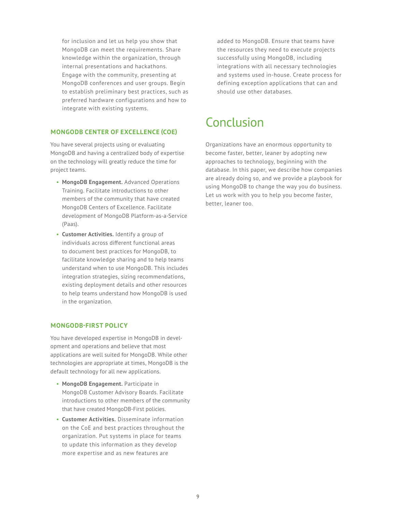for inclusion and let us help you show that MongoDB can meet the requirements. Share knowledge within the organization, through internal presentations and hackathons. Engage with the community, presenting at MongoDB conferences and user groups. Begin to establish preliminary best practices, such as preferred hardware configurations and how to integrate with existing systems.

### **MONGODB CENTER OF EXCELLENCE (COE)**

You have several projects using or evaluating MongoDB and having a centralized body of expertise on the technology will greatly reduce the time for project teams.

- **MongoDB Engagement.** Advanced Operations Training. Facilitate introductions to other members of the community that have created MongoDB Centers of Excellence. Facilitate development of MongoDB Platform-as-a-Service (Paas).
- **Customer Activities.** Identify a group of individuals across different functional areas to document best practices for MongoDB, to facilitate knowledge sharing and to help teams understand when to use MongoDB. This includes integration strategies, sizing recommendations, existing deployment details and other resources to help teams understand how MongoDB is used in the organization.

### **MONGODB-FIRST POLICY**

You have developed expertise in MongoDB in development and operations and believe that most applications are well suited for MongoDB. While other technologies are appropriate at times, MongoDB is the default technology for all new applications.

- **MongoDB Engagement.** Participate in MongoDB Customer Advisory Boards. Facilitate introductions to other members of the community that have created MongoDB-First policies.
- **Customer Activities.** Disseminate information on the CoE and best practices throughout the organization. Put systems in place for teams to update this information as they develop more expertise and as new features are

added to MongoDB. Ensure that teams have the resources they need to execute projects successfully using MongoDB, including integrations with all necessary technologies and systems used in-house. Create process for defining exception applications that can and should use other databases.

### Conclusion

Organizations have an enormous opportunity to become faster, better, leaner by adopting new approaches to technology, beginning with the database. In this paper, we describe how companies are already doing so, and we provide a playbook for using MongoDB to change the way you do business. Let us work with you to help you become faster, better, leaner too.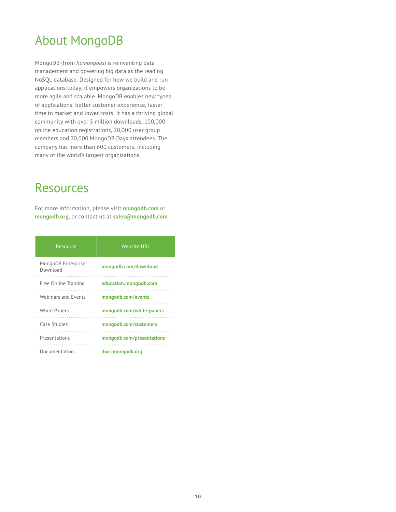# About MongoDB

MongoDB (from *humongous*) is reinventing data management and powering big data as the leading NoSQL database. Designed for how we build and run applications today, it empowers organizations to be more agile and scalable. MongoDB enables new types of applications, better customer experience, faster time to market and lower costs. It has a thriving global community with over 5 million downloads, 100,000 online education registrations, 20,000 user group members and 20,000 MongoDB Days attendees. The company has more than 600 customers, including many of the world's largest organizations.

### Resources

For more information, please visit **mongodb.com** or **mongodb.org**, or contact us at **sales@mongodb.com**.

| Resource                       | <b>Website URL</b>        |
|--------------------------------|---------------------------|
| MongoDB Enterprise<br>Download | mongodb.com/download      |
| Free Online Training           | education.mongodb.com     |
| Webinars and Events            | mongodb.com/events        |
| <b>White Papers</b>            | mongodb.com/white-papers  |
| Case Studies                   | mongodb.com/customers     |
| Presentations                  | mongodb.com/presentations |
| Documentation                  | docs.mongodb.org          |